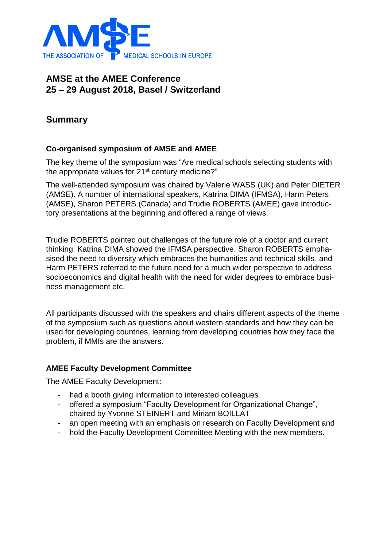

# **AMSE at the AMEE Conference 25 – 29 August 2018, Basel / Switzerland**

## **Summary**

### **Co-organised symposium of AMSE and AMEE**

The key theme of the symposium was "Are medical schools selecting students with the appropriate values for 21<sup>st</sup> century medicine?"

The well-attended symposium was chaired by Valerie WASS (UK) and Peter DIETER (AMSE). A number of international speakers, Katrina DIMA (IFMSA), Harm Peters (AMSE), Sharon PETERS (Canada) and Trudie ROBERTS (AMEE) gave introductory presentations at the beginning and offered a range of views:

Trudie ROBERTS pointed out challenges of the future role of a doctor and current thinking. Katrina DIMA showed the IFMSA perspective. Sharon ROBERTS emphasised the need to diversity which embraces the humanities and technical skills, and Harm PETERS referred to the future need for a much wider perspective to address socioeconomics and digital health with the need for wider degrees to embrace business management etc.

All participants discussed with the speakers and chairs different aspects of the theme of the symposium such as questions about western standards and how they can be used for developing countries, learning from developing countries how they face the problem, if MMIs are the answers.

#### **AMEE Faculty Development Committee**

The AMEE Faculty Development:

- had a booth giving information to interested colleagues
- offered a symposium "Faculty Development for Organizational Change", chaired by Yvonne STEINERT and Miriam BOILLAT
- an open meeting with an emphasis on research on Faculty Development and
- hold the Faculty Development Committee Meeting with the new members.